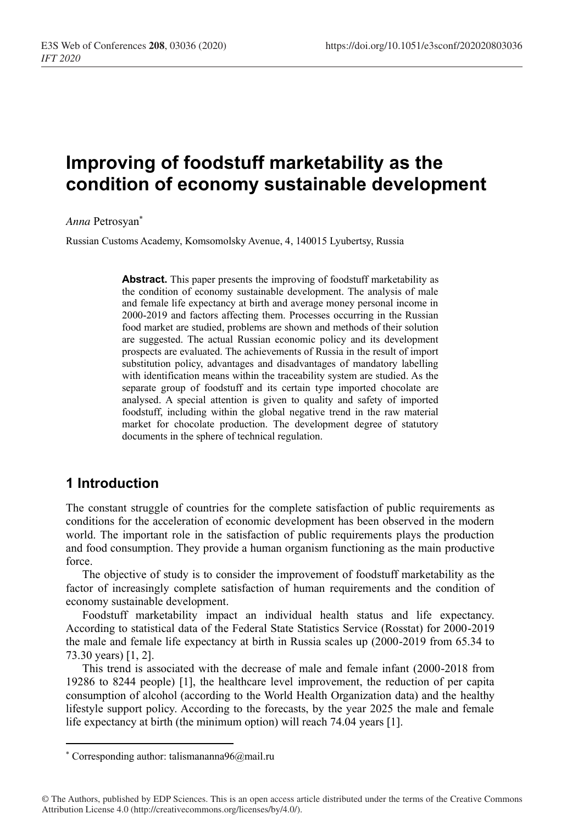# **Improving of foodstuff marketability as the condition of economy sustainable development**

*Anna* Petrosyan\*

Russian Customs Academy, Komsomolsky Avenue, 4, 140015 Lyubertsy, Russia

**Abstract.** This paper presents the improving of foodstuff marketability as the condition of economy sustainable development. The analysis of male and female life expectancy at birth and average money personal income in 2000-2019 and factors affecting them. Processes occurring in the Russian food market are studied, problems are shown and methods of their solution are suggested. The actual Russian economic policy and its development prospects are evaluated. The achievements of Russia in the result of import substitution policy, advantages and disadvantages of mandatory labelling with identification means within the traceability system are studied. As the separate group of foodstuff and its certain type imported chocolate are analysed. A special attention is given to quality and safety of imported foodstuff, including within the global negative trend in the raw material market for chocolate production. The development degree of statutory documents in the sphere of technical regulation.

## **1 Introduction**

The constant struggle of countries for the complete satisfaction of public requirements as conditions for the acceleration of economic development has been observed in the modern world. The important role in the satisfaction of public requirements plays the production and food consumption. They provide a human organism functioning as the main productive force.

The objective of study is to consider the improvement of foodstuff marketability as the factor of increasingly complete satisfaction of human requirements and the condition of economy sustainable development.

Foodstuff marketability impact an individual health status and life expectancy. According to statistical data of the Federal State Statistics Service (Rosstat) for 2000-2019 the male and female life expectancy at birth in Russia scales up (2000-2019 from 65.34 to 73.30 years) [1, 2].

This trend is associated with the decrease of male and female infant (2000-2018 from 19286 to 8244 people) [1], the healthcare level improvement, the reduction of per capita consumption of alcohol (according to the World Health Organization data) and the healthy lifestyle support policy. According to the forecasts, by the year 2025 the male and female life expectancy at birth (the minimum option) will reach 74.04 years [1].

<sup>\*</sup> Corresponding author: talismananna96@mail.ru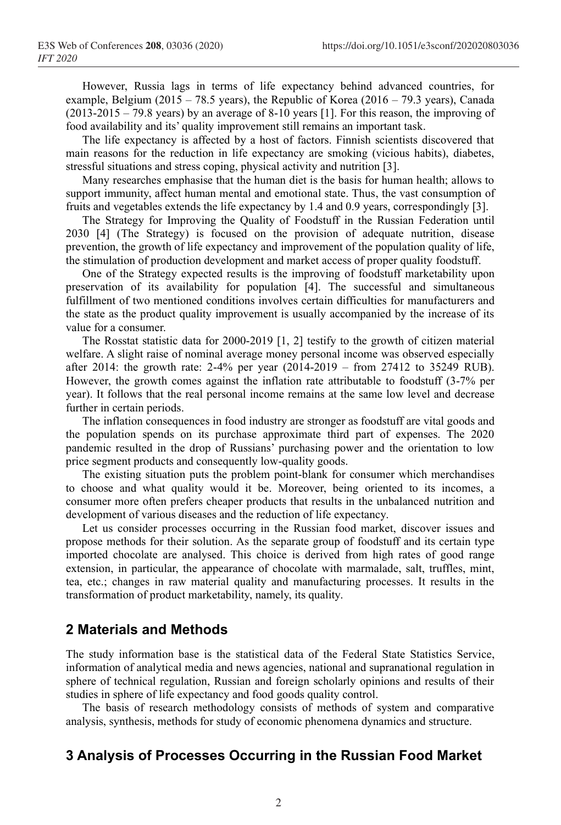However, Russia lags in terms of life expectancy behind advanced countries, for example, Belgium (2015 – 78.5 years), the Republic of Korea (2016 – 79.3 years), Canada  $(2013-2015 - 79.8 \text{ years})$  by an average of 8-10 years [1]. For this reason, the improving of food availability and its' quality improvement still remains an important task.

The life expectancy is affected by a host of factors. Finnish scientists discovered that main reasons for the reduction in life expectancy are smoking (vicious habits), diabetes, stressful situations and stress coping, physical activity and nutrition [3].

Many researches emphasise that the human diet is the basis for human health; allows to support immunity, affect human mental and emotional state. Thus, the vast consumption of fruits and vegetables extends the life expectancy by 1.4 and 0.9 years, correspondingly [3].

The Strategy for Improving the Quality of Foodstuff in the Russian Federation until 2030 [4] (The Strategy) is focused on the provision of adequate nutrition, disease prevention, the growth of life expectancy and improvement of the population quality of life, the stimulation of production development and market access of proper quality foodstuff.

One of the Strategy expected results is the improving of foodstuff marketability upon preservation of its availability for population [4]. The successful and simultaneous fulfillment of two mentioned conditions involves certain difficulties for manufacturers and the state as the product quality improvement is usually accompanied by the increase of its value for a consumer.

The Rosstat statistic data for 2000-2019 [1, 2] testify to the growth of citizen material welfare. A slight raise of nominal average money personal income was observed especially after 2014: the growth rate: 2-4% per year (2014-2019 – from 27412 to 35249 RUB). However, the growth comes against the inflation rate attributable to foodstuff (3-7% per year). It follows that the real personal income remains at the same low level and decrease further in certain periods.

The inflation consequences in food industry are stronger as foodstuff are vital goods and the population spends on its purchase approximate third part of expenses. The 2020 pandemic resulted in the drop of Russians' purchasing power and the orientation to low price segment products and consequently low-quality goods.

The existing situation puts the problem point-blank for consumer which merchandises to choose and what quality would it be. Moreover, being oriented to its incomes, a consumer more often prefers cheaper products that results in the unbalanced nutrition and development of various diseases and the reduction of life expectancy.

Let us consider processes occurring in the Russian food market, discover issues and propose methods for their solution. As the separate group of foodstuff and its certain type imported chocolate are analysed. This choice is derived from high rates of good range extension, in particular, the appearance of chocolate with marmalade, salt, truffles, mint, tea, etc.; changes in raw material quality and manufacturing processes. It results in the transformation of product marketability, namely, its quality.

#### **2 Materials and Methods**

The study information base is the statistical data of the Federal State Statistics Service, information of analytical media and news agencies, national and supranational regulation in sphere of technical regulation, Russian and foreign scholarly opinions and results of their studies in sphere of life expectancy and food goods quality control.

The basis of research methodology consists of methods of system and comparative analysis, synthesis, methods for study of economic phenomena dynamics and structure.

## **3 Analysis of Processes Occurring in the Russian Food Market**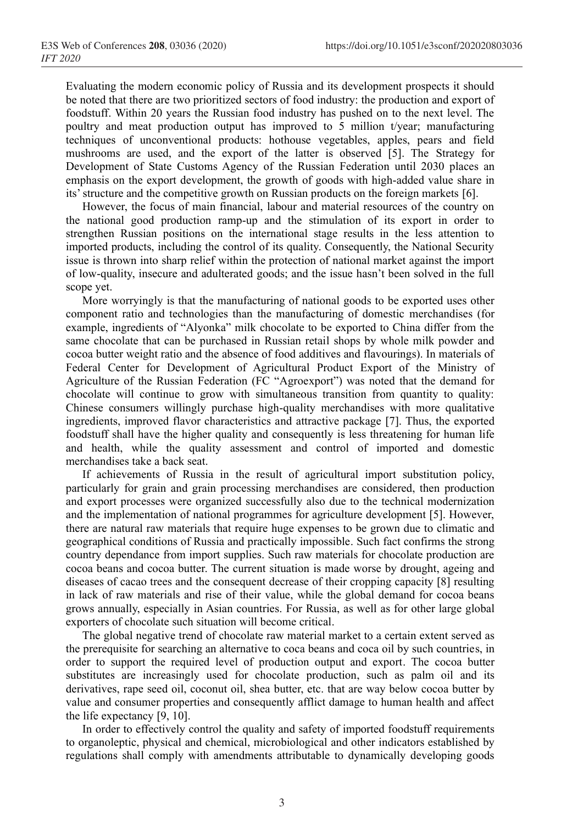Evaluating the modern economic policy of Russia and its development prospects it should be noted that there are two prioritized sectors of food industry: the production and export of foodstuff. Within 20 years the Russian food industry has pushed on to the next level. The poultry and meat production output has improved to  $\overline{5}$  million t/year; manufacturing techniques of unconventional products: hothouse vegetables, apples, pears and field mushrooms are used, and the export of the latter is observed [5]. The Strategy for Development of State Customs Agency of the Russian Federation until 2030 places an emphasis on the export development, the growth of goods with high-added value share in its' structure and the competitive growth on Russian products on the foreign markets [6].

However, the focus of main financial, labour and material resources of the country on the national good production ramp-up and the stimulation of its export in order to strengthen Russian positions on the international stage results in the less attention to imported products, including the control of its quality. Consequently, the National Security issue is thrown into sharp relief within the protection of national market against the import of low-quality, insecure and adulterated goods; and the issue hasn't been solved in the full scope yet.

More worryingly is that the manufacturing of national goods to be exported uses other component ratio and technologies than the manufacturing of domestic merchandises (for example, ingredients of "Alyonka" milk chocolate to be exported to China differ from the same chocolate that can be purchased in Russian retail shops by whole milk powder and cocoa butter weight ratio and the absence of food additives and flavourings). In materials of Federal Center for Development of Agricultural Product Export of the Ministry of Agriculture of the Russian Federation (FC "Agroexport") was noted that the demand for chocolate will continue to grow with simultaneous transition from quantity to quality: Chinese consumers willingly purchase high-quality merchandises with more qualitative ingredients, improved flavor characteristics and attractive package [7]. Thus, the exported foodstuff shall have the higher quality and consequently is less threatening for human life and health, while the quality assessment and control of imported and domestic merchandises take a back seat.

If achievements of Russia in the result of agricultural import substitution policy, particularly for grain and grain processing merchandises are considered, then production and export processes were organized successfully also due to the technical modernization and the implementation of national programmes for agriculture development [5]. However, there are natural raw materials that require huge expenses to be grown due to climatic and geographical conditions of Russia and practically impossible. Such fact confirms the strong country dependance from import supplies. Such raw materials for chocolate production are cocoa beans and cocoa butter. The current situation is made worse by drought, ageing and diseases of cacao trees and the consequent decrease of their cropping capacity [8] resulting in lack of raw materials and rise of their value, while the global demand for cocoa beans grows annually, especially in Asian countries. For Russia, as well as for other large global exporters of chocolate such situation will become critical.

The global negative trend of chocolate raw material market to a certain extent served as the prerequisite for searching an alternative to coca beans and coca oil by such countries, in order to support the required level of production output and export. The cocoa butter substitutes are increasingly used for chocolate production, such as palm oil and its derivatives, rape seed oil, coconut oil, shea butter, etc. that are way below cocoa butter by value and consumer properties and consequently afflict damage to human health and affect the life expectancy [9, 10].

In order to effectively control the quality and safety of imported foodstuff requirements to organoleptic, physical and chemical, microbiological and other indicators established by regulations shall comply with amendments attributable to dynamically developing goods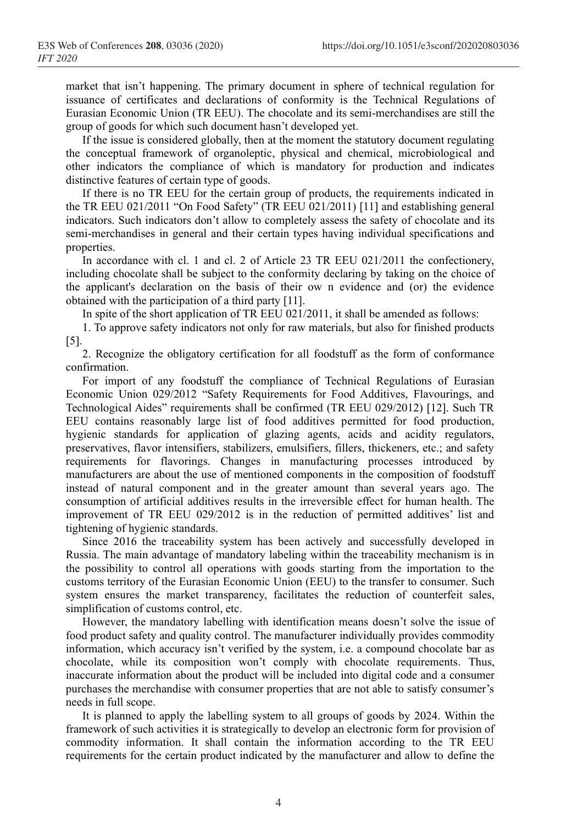market that isn't happening. The primary document in sphere of technical regulation for issuance of certificates and declarations of conformity is the Technical Regulations of Eurasian Economic Union (TR EEU). The chocolate and its semi-merchandises are still the group of goods for which such document hasn't developed yet.

If the issue is considered globally, then at the moment the statutory document regulating the conceptual framework of organoleptic, physical and chemical, microbiological and other indicators the compliance of which is mandatory for production and indicates distinctive features of certain type of goods.

If there is no TR EEU for the certain group of products, the requirements indicated in the TR EEU 021/2011 "On Food Safety" (TR EEU 021/2011) [11] and establishing general indicators. Such indicators don't allow to completely assess the safety of chocolate and its semi-merchandises in general and their certain types having individual specifications and properties.

In accordance with cl. 1 and cl. 2 of Article 23 TR EEU 021/2011 the confectionery, including chocolate shall be subject to the conformity declaring by taking on the choice of the applicant's declaration on the basis of their ow n evidence and (or) the evidence obtained with the participation of a third party [11].

In spite of the short application of TR EEU 021/2011, it shall be amended as follows:

1. To approve safety indicators not only for raw materials, but also for finished products [5].

2. Recognize the obligatory certification for all foodstuff as the form of conformance confirmation.

For import of any foodstuff the compliance of Technical Regulations of Eurasian Economic Union 029/2012 "Safety Requirements for Food Additives, Flavourings, and Technological Aides" requirements shall be confirmed (TR EEU 029/2012) [12]. Such TR EEU contains reasonably large list of food additives permitted for food production, hygienic standards for application of glazing agents, acids and acidity regulators, preservatives, flavor intensifiers, stabilizers, emulsifiers, fillers, thickeners, etc.; and safety requirements for flavorings. Changes in manufacturing processes introduced by manufacturers are about the use of mentioned components in the composition of foodstuff instead of natural component and in the greater amount than several years ago. The consumption of artificial additives results in the irreversible effect for human health. The improvement of TR EEU 029/2012 is in the reduction of permitted additives' list and tightening of hygienic standards.

Since 2016 the traceability system has been actively and successfully developed in Russia. The main advantage of mandatory labeling within the traceability mechanism is in the possibility to control all operations with goods starting from the importation to the customs territory of the Eurasian Economic Union (EEU) to the transfer to consumer. Such system ensures the market transparency, facilitates the reduction of counterfeit sales, simplification of customs control, etc.

However, the mandatory labelling with identification means doesn't solve the issue of food product safety and quality control. The manufacturer individually provides commodity information, which accuracy isn't verified by the system, i.e. a compound chocolate bar as chocolate, while its composition won't comply with chocolate requirements. Thus, inaccurate information about the product will be included into digital code and a consumer purchases the merchandise with consumer properties that are not able to satisfy consumer's needs in full scope.

It is planned to apply the labelling system to all groups of goods by 2024. Within the framework of such activities it is strategically to develop an electronic form for provision of commodity information. It shall contain the information according to the TR EEU requirements for the certain product indicated by the manufacturer and allow to define the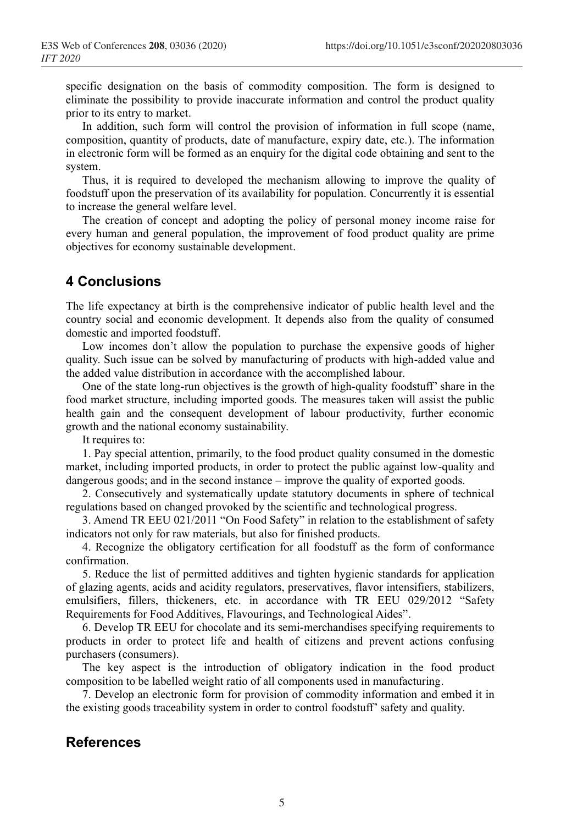specific designation on the basis of commodity composition. The form is designed to eliminate the possibility to provide inaccurate information and control the product quality prior to its entry to market.

In addition, such form will control the provision of information in full scope (name, composition, quantity of products, date of manufacture, expiry date, etc.). The information in electronic form will be formed as an enquiry for the digital code obtaining and sent to the system.

Thus, it is required to developed the mechanism allowing to improve the quality of foodstuff upon the preservation of its availability for population. Concurrently it is essential to increase the general welfare level.

The creation of concept and adopting the policy of personal money income raise for every human and general population, the improvement of food product quality are prime objectives for economy sustainable development.

## **4 Conclusions**

The life expectancy at birth is the comprehensive indicator of public health level and the country social and economic development. It depends also from the quality of consumed domestic and imported foodstuff.

Low incomes don't allow the population to purchase the expensive goods of higher quality. Such issue can be solved by manufacturing of products with high-added value and the added value distribution in accordance with the accomplished labour.

One of the state long-run objectives is the growth of high-quality foodstuff' share in the food market structure, including imported goods. The measures taken will assist the public health gain and the consequent development of labour productivity, further economic growth and the national economy sustainability.

It requires to:

1. Pay special attention, primarily, to the food product quality consumed in the domestic market, including imported products, in order to protect the public against low-quality and dangerous goods; and in the second instance – improve the quality of exported goods.

2. Consecutively and systematically update statutory documents in sphere of technical regulations based on changed provoked by the scientific and technological progress.

3. Amend TR EEU 021/2011 "On Food Safety" in relation to the establishment of safety indicators not only for raw materials, but also for finished products.

4. Recognize the obligatory certification for all foodstuff as the form of conformance confirmation.

5. Reduce the list of permitted additives and tighten hygienic standards for application of glazing agents, acids and acidity regulators, preservatives, flavor intensifiers, stabilizers, emulsifiers, fillers, thickeners, etc. in accordance with TR EEU 029/2012 "Safety Requirements for Food Additives, Flavourings, and Technological Aides".

6. Develop TR EEU for chocolate and its semi-merchandises specifying requirements to products in order to protect life and health of citizens and prevent actions confusing purchasers (consumers).

The key aspect is the introduction of obligatory indication in the food product composition to be labelled weight ratio of all components used in manufacturing.

7. Develop an electronic form for provision of commodity information and embed it in the existing goods traceability system in order to control foodstuff'safety and quality.

#### **References**